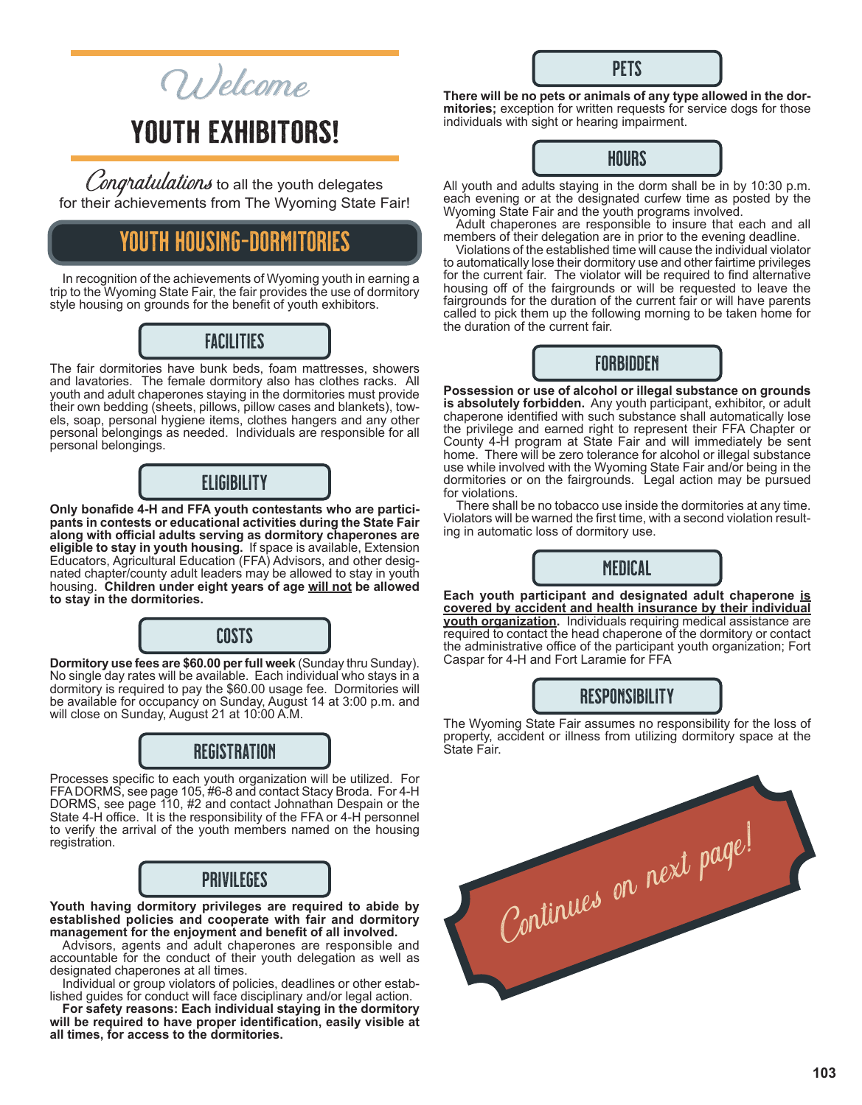Wel<sup>c</sup>om<sup>e</sup>

# YOUTH EXHIBITORS!

Congratulations to all the youth delegates for their achievements from The Wyoming State Fair!

# YOUTH HOUSING-DORMITORIES

In recognition of the achievements of Wyoming youth in earning a trip to the Wyoming State Fair, the fair provides the use of dormitory style housing on grounds for the benefit of youth exhibitors.

## FACILITIES

The fair dormitories have bunk beds, foam mattresses, showers and lavatories. The female dormitory also has clothes racks. All youth and adult chaperones staying in the dormitories must provide their own bedding (sheets, pillows, pillow cases and blankets), towels, soap, personal hygiene items, clothes hangers and any other personal belongings as needed. Individuals are responsible for all personal belongings.

## **ELIGIBILITY**

**Only bonafide 4-H and FFA youth contestants who are participants in contests or educational activities during the State Fair along with official adults serving as dormitory chaperones are eligible to stay in youth housing.** If space is available, Extension Educators, Agricultural Education (FFA) Advisors, and other designated chapter/county adult leaders may be allowed to stay in youth housing. Children under eight years of age will not be allowed **to stay in the dormitories.**

# COSTS

**Dormitory use fees are \$60.00 per full week** (Sunday thru Sunday). No single day rates will be available. Each individual who stays in a dormitory is required to pay the \$60.00 usage fee. Dormitories will be available for occupancy on Sunday, August 14 at 3:00 p.m. and will close on Sunday, August 21 at 10:00 A.M.

# REGISTRATION

Processes specific to each youth organization will be utilized. For FFA DORMS, see page 105, #6-8 and contact Stacy Broda. For 4-H DORMS, see page 110, #2 and contact Johnathan Despain or the State 4-H office. It is the responsibility of the FFA or 4-H personnel to verify the arrival of the youth members named on the housing registration.

# PRIVILEGES

**Youth having dormitory privileges are required to abide by established policies and cooperate with fair and dormitory management for the enjoyment and benefit of all involved.**

Advisors, agents and adult chaperones are responsible and accountable for the conduct of their youth delegation as well as designated chaperones at all times.

Individual or group violators of policies, deadlines or other established guides for conduct will face disciplinary and/or legal action.

**For safety reasons: Each individual staying in the dormitory will be required to have proper identification, easily visible at all times, for access to the dormitories.**

**There will be no pets or animals of any type allowed in the dor mitories;** exception for written requests for service dogs for those individuals with sight or hearing impairment.

**PFTS** 



All youth and adults staying in the dorm shall be in by 10:30 p.m. each evening or at the designated curfew time as posted by the Wyoming State Fair and the youth programs involved.

Adult chaperones are responsible to insure that each and all members of their delegation are in prior to the evening deadline.

Violations of the established time will cause the individual violator to automatically lose their dormitory use and other fairtime privileges for the current fair. The violator will be required to find alternative housing off of the fairgrounds or will be requested to leave the fairgrounds for the duration of the current fair or will have parents called to pick them up the following morning to be taken home for the duration of the current fair.



**Possession or use of alcohol or illegal substance on grounds is absolutely forbidden.** Any youth participant, exhibitor, or adult chaperone identified with such substance shall automatically lose the privilege and earned right to represent their FFA Chapter or County 4-H program at State Fair and will immediately be sent home. There will be zero tolerance for alcohol or illegal substance use while involved with the Wyoming State Fair and/or being in the dormitories or on the fairgrounds. Legal action may be pursued for violations.

There shall be no tobacco use inside the dormitories at any time. Violators will be warned the first time, with a second violation result ing in automatic loss of dormitory use.



**Each youth participant and designated adult chaperone is covered by accident and health insurance by their individual youth organization.** Individuals requiring medical assistance are required to contact the head chaperone of the dormitory or contact the administrative office of the participant youth organization; Fort Caspar for 4-H and Fort Laramie for FFA

## **RESPONSIBILITY**

The Wyoming State Fair assumes no responsibility for the loss of property, accident or illness from utilizing dormitory space at the State Fair.